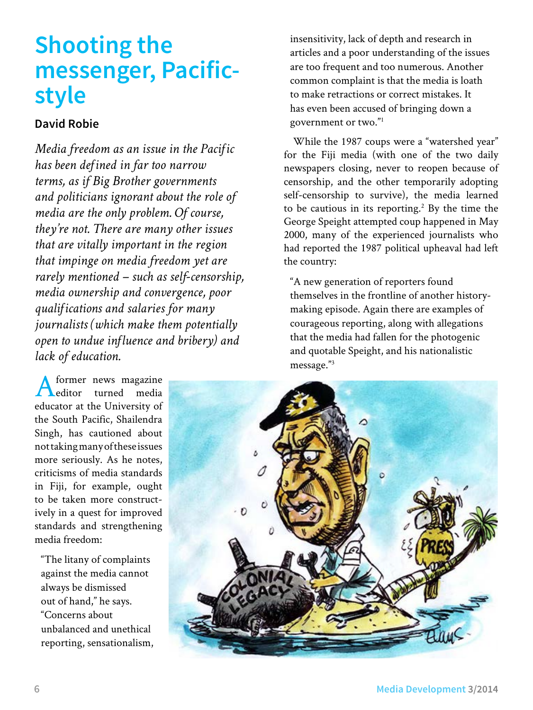# **Shooting the messenger, Pacificstyle**

## **David Robie**

*Media freedom as an issue in the Pacific has been defined in far too narrow terms, as if Big Brother governments and politicians ignorant about the role of media are the only problem. Of course, they're not. There are many other issues that are vitally important in the region that impinge on media freedom yet are rarely mentioned – such as self-censorship, media ownership and convergence, poor qualifications and salaries for many journalists (which make them potentially open to undue influence and bribery) and lack of education.*

former news magazine<br>editor turned media editor turned educator at the University of the South Pacific, Shailendra Singh, has cautioned about not taking many of these issues more seriously. As he notes, criticisms of media standards in Fiji, for example, ought to be taken more constructively in a quest for improved standards and strengthening media freedom:

"The litany of complaints against the media cannot always be dismissed out of hand," he says. "Concerns about unbalanced and unethical reporting, sensationalism, insensitivity, lack of depth and research in articles and a poor understanding of the issues are too frequent and too numerous. Another common complaint is that the media is loath to make retractions or correct mistakes. It has even been accused of bringing down a government or two."1

While the 1987 coups were a "watershed year" for the Fiji media (with one of the two daily newspapers closing, never to reopen because of censorship, and the other temporarily adopting self-censorship to survive), the media learned to be cautious in its reporting.<sup>2</sup> By the time the George Speight attempted coup happened in May 2000, many of the experienced journalists who had reported the 1987 political upheaval had left the country:

"A new generation of reporters found themselves in the frontline of another historymaking episode. Again there are examples of courageous reporting, along with allegations that the media had fallen for the photogenic and quotable Speight, and his nationalistic message."3

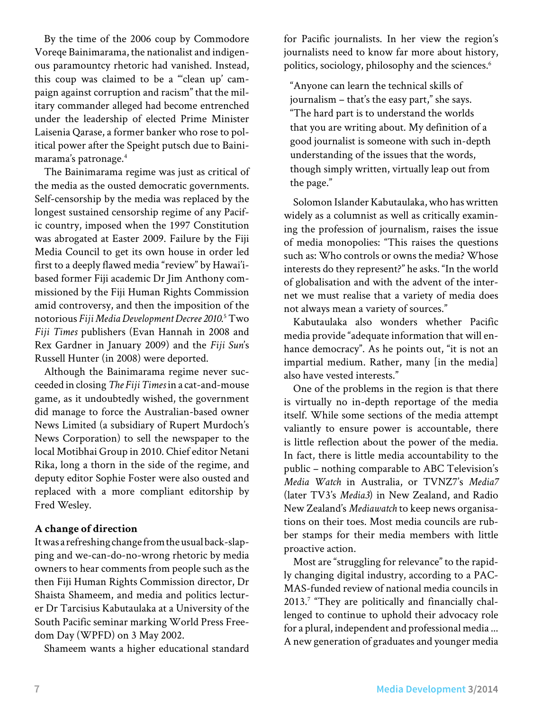By the time of the 2006 coup by Commodore Voreqe Bainimarama, the nationalist and indigenous paramountcy rhetoric had vanished. Instead, this coup was claimed to be a "'clean up' campaign against corruption and racism" that the military commander alleged had become entrenched under the leadership of elected Prime Minister Laisenia Qarase, a former banker who rose to political power after the Speight putsch due to Bainimarama's patronage.4

The Bainimarama regime was just as critical of the media as the ousted democratic governments. Self-censorship by the media was replaced by the longest sustained censorship regime of any Pacific country, imposed when the 1997 Constitution was abrogated at Easter 2009. Failure by the Fiji Media Council to get its own house in order led first to a deeply flawed media "review" by Hawai'ibased former Fiji academic Dr Jim Anthony commissioned by the Fiji Human Rights Commission amid controversy, and then the imposition of the notorious *Fiji Media Development Decree 2010*. 5 Two *Fiji Times* publishers (Evan Hannah in 2008 and Rex Gardner in January 2009) and the *Fiji Sun*'s Russell Hunter (in 2008) were deported.

Although the Bainimarama regime never succeeded in closing *The Fiji Times* in a cat-and-mouse game, as it undoubtedly wished, the government did manage to force the Australian-based owner News Limited (a subsidiary of Rupert Murdoch's News Corporation) to sell the newspaper to the local Motibhai Group in 2010. Chief editor Netani Rika, long a thorn in the side of the regime, and deputy editor Sophie Foster were also ousted and replaced with a more compliant editorship by Fred Wesley.

#### **A change of direction**

It was a refreshing change from the usual back-slapping and we-can-do-no-wrong rhetoric by media owners to hear comments from people such as the then Fiji Human Rights Commission director, Dr Shaista Shameem, and media and politics lecturer Dr Tarcisius Kabutaulaka at a University of the South Pacific seminar marking World Press Freedom Day (WPFD) on 3 May 2002.

Shameem wants a higher educational standard

for Pacific journalists. In her view the region's journalists need to know far more about history, politics, sociology, philosophy and the sciences.<sup>6</sup>

"Anyone can learn the technical skills of journalism – that's the easy part," she says. "The hard part is to understand the worlds that you are writing about. My definition of a good journalist is someone with such in-depth understanding of the issues that the words, though simply written, virtually leap out from the page."

Solomon Islander Kabutaulaka, who has written widely as a columnist as well as critically examining the profession of journalism, raises the issue of media monopolies: "This raises the questions such as: Who controls or owns the media? Whose interests do they represent?" he asks. "In the world of globalisation and with the advent of the internet we must realise that a variety of media does not always mean a variety of sources."

Kabutaulaka also wonders whether Pacific media provide "adequate information that will enhance democracy". As he points out, "it is not an impartial medium. Rather, many [in the media] also have vested interests."

One of the problems in the region is that there is virtually no in-depth reportage of the media itself. While some sections of the media attempt valiantly to ensure power is accountable, there is little reflection about the power of the media. In fact, there is little media accountability to the public – nothing comparable to ABC Television's *Media Watch* in Australia, or TVNZ7's *Media7*  (later TV3's *Media3*) in New Zealand, and Radio New Zealand's *Mediawatch* to keep news organisations on their toes. Most media councils are rubber stamps for their media members with little proactive action.

Most are "struggling for relevance" to the rapidly changing digital industry, according to a PAC-MAS-funded review of national media councils in 2013.<sup>7</sup> "They are politically and financially challenged to continue to uphold their advocacy role for a plural, independent and professional media ... A new generation of graduates and younger media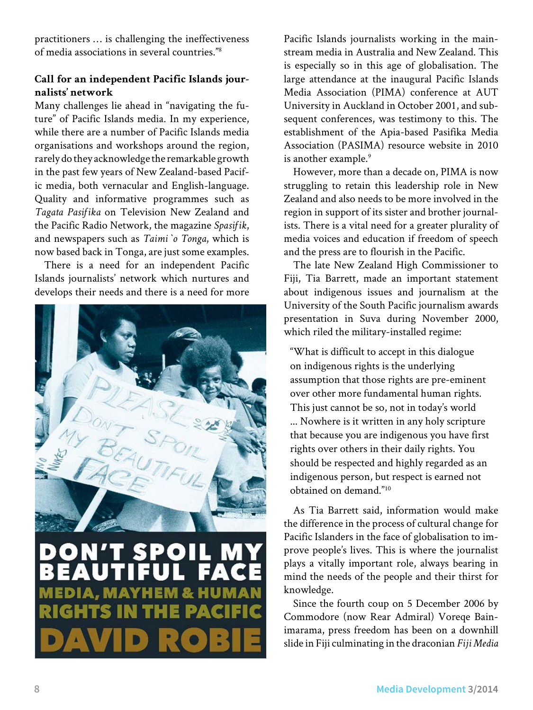practitioners … is challenging the ineffectiveness of media associations in several countries."8

### **Call for an independent Pacific Islands journalists' network**

Many challenges lie ahead in "navigating the future" of Pacific Islands media. In my experience, while there are a number of Pacific Islands media organisations and workshops around the region, rarely do they acknowledge the remarkable growth in the past few years of New Zealand-based Pacific media, both vernacular and English-language. Quality and informative programmes such as *Tagata Pasifika* on Television New Zealand and the Pacific Radio Network, the magazine *Spasifik*, and newspapers such as *Taimi `o Tonga*, which is now based back in Tonga, are just some examples.

There is a need for an independent Pacific Islands journalists' network which nurtures and develops their needs and there is a need for more



# Đ  $\mathbf{O}$ G

Pacific Islands journalists working in the mainstream media in Australia and New Zealand. This is especially so in this age of globalisation. The large attendance at the inaugural Pacific Islands Media Association (PIMA) conference at AUT University in Auckland in October 2001, and subsequent conferences, was testimony to this. The establishment of the Apia-based Pasifika Media Association (PASIMA) resource website in 2010 is another example.<sup>9</sup>

However, more than a decade on, PIMA is now struggling to retain this leadership role in New Zealand and also needs to be more involved in the region in support of its sister and brother journalists. There is a vital need for a greater plurality of media voices and education if freedom of speech and the press are to flourish in the Pacific.

The late New Zealand High Commissioner to Fiji, Tia Barrett, made an important statement about indigenous issues and journalism at the University of the South Pacific journalism awards presentation in Suva during November 2000, which riled the military-installed regime:

"What is difficult to accept in this dialogue on indigenous rights is the underlying assumption that those rights are pre-eminent over other more fundamental human rights. This just cannot be so, not in today's world ... Nowhere is it written in any holy scripture that because you are indigenous you have first rights over others in their daily rights. You should be respected and highly regarded as an indigenous person, but respect is earned not obtained on demand."10

As Tia Barrett said, information would make the difference in the process of cultural change for Pacific Islanders in the face of globalisation to improve people's lives. This is where the journalist plays a vitally important role, always bearing in mind the needs of the people and their thirst for knowledge.

Since the fourth coup on 5 December 2006 by Commodore (now Rear Admiral) Voreqe Bainimarama, press freedom has been on a downhill slide in Fiji culminating in the draconian *Fiji Media*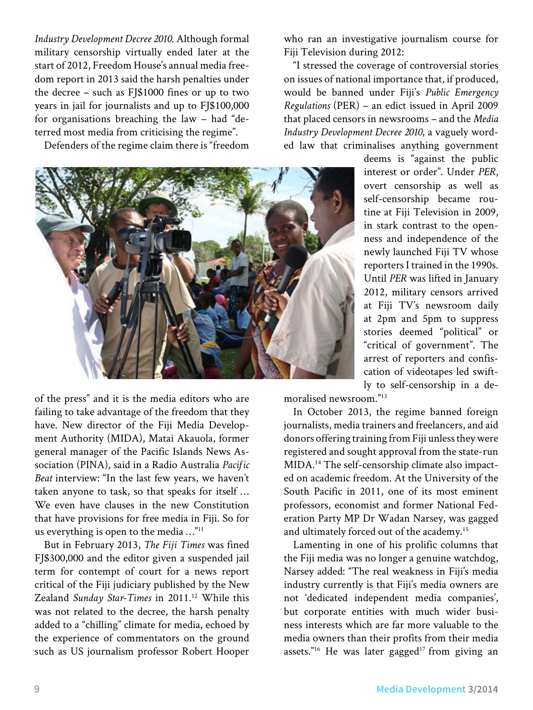*Industry Development Decree 2010*. Although formal military censorship virtually ended later at the start of 2012, Freedom House's annual media freedom report in 2013 said the harsh penalties under the decree – such as FJ\$1000 fines or up to two years in jail for journalists and up to FJ\$100,000 for organisations breaching the law – had "deterred most media from criticising the regime".

Defenders of the regime claim there is "freedom



who ran an investigative journalism course for Fiji Television during 2012:

"I stressed the coverage of controversial stories on issues of national importance that, if produced, would be banned under Fiji's *Public Emergency Regulations* (PER) – an edict issued in April 2009 that placed censors in newsrooms – and the *Media Industry Development Decree 2010*, a vaguely worded law that criminalises anything government

deems is "against the public interest or order". Under *PER*, overt censorship as well as self-censorship became routine at Fiji Television in 2009, in stark contrast to the openness and independence of the newly launched Fiji TV whose reporters I trained in the 1990s. Until *PER* was lifted in January 2012, military censors arrived at Fiji TV's newsroom daily at 2pm and 5pm to suppress stories deemed "political" or "critical of government". The arrest of reporters and confiscation of videotapes led swiftly to self-censorship in a de-

moralised newsroom."13

In October 2013, the regime banned foreign journalists, media trainers and freelancers, and aid donors offering training from Fiji unless they were registered and sought approval from the state-run MIDA.14 The self-censorship climate also impacted on academic freedom. At the University of the South Pacific in 2011, one of its most eminent professors, economist and former National Federation Party MP Dr Wadan Narsey, was gagged and ultimately forced out of the academy.15

Lamenting in one of his prolific columns that the Fiji media was no longer a genuine watchdog, Narsey added: "The real weakness in Fiji's media industry currently is that Fiji's media owners are not 'dedicated independent media companies', but corporate entities with much wider business interests which are far more valuable to the media owners than their profits from their media assets."<sup>16</sup> He was later gagged<sup>17</sup> from giving an

of the press" and it is the media editors who are failing to take advantage of the freedom that they have. New director of the Fiji Media Development Authority (MIDA), Matai Akauola, former general manager of the Pacific Islands News Association (PINA), said in a Radio Australia *Pacific Beat* interview: "In the last few years, we haven't taken anyone to task, so that speaks for itself … We even have clauses in the new Constitution that have provisions for free media in Fiji. So for us everything is open to the media …"11

But in February 2013, *The Fiji Times* was fined FJ\$300,000 and the editor given a suspended jail term for contempt of court for a news report critical of the Fiji judiciary published by the New Zealand *Sunday Star-Times* in 2011.12 While this was not related to the decree, the harsh penalty added to a "chilling" climate for media, echoed by the experience of commentators on the ground such as US journalism professor Robert Hooper